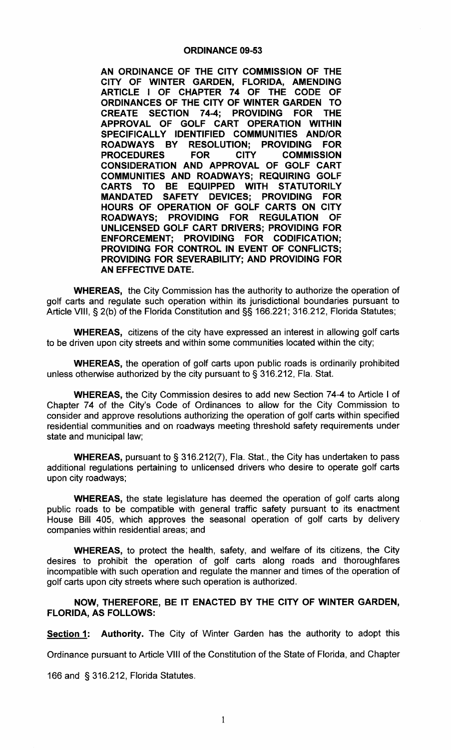## ORDINANCE 09- 53

AN ORDINANCE OF THE CITY COMMISSION OF THE CITY OF WINTER GARDEN, FLORIDA, AMENDING ARTICLE I OF CHAPTER 74 OF THE CODE OF ORDINANCES OF THE CITY OF WINTER GARDEN TO CREATE SECTION 74- THE CODE OF<br>CITY OF WINTER GARDEN TO<br>74-4; PROVIDING FOR THE<br>F CART OPERATION WITHIN APPROVAL OF GOLF CART OPERATION WITHIN APPROVAL OF GOLF CART OPERATION WITHIN<br>SPECIFICALLY IDENTIFIED COMMUNITIES AND/OR ROADWAYS BY RESOLUTION; PROVIDING FOR<br>PROCEDURES FOR CITY COMMISSION **PROCEDURES** CONSIDERATION AND APPROVAL OF GOLF CART COMMUNITIES AND ROADWAYS; REQUIRING GOLF CARTS TO BE EQUIPPED WITH STATUTORILY MANDATED SAFETY DEVICES; PROVIDING FOR HOURS OF OPERATION OF GOLF CARTS ON CITY PROVIDING FOR REGULATION OF UNLICENSED GOLF CART DRIVERS; PROVIDING FOR ENFORCEMENT; PROVIDING FOR CODIFICATION; PROVIDING FOR CONTROL IN EVENT OF CONFLICTS; PROVIDING FOR SEVERABILITY; AND PROVIDING FOR AN EFFECTIVE DATE.

WHEREAS, the City Commission has the authority to authorize the operation of golf carts and regulate such operation within its jurisdictional boundaries pursuant to golf carts and regulate such operation within its jurisdictional boundaries pursuant to<br>Article VIII, § 2(b) of the Florida Constitution and §§ 166.221; 316.212, Florida Statutes;

WHEREAS, citizens of the city have expressed an interest in allowing golf carts to be driven upon city streets and within some communities located within the city;

WHEREAS, the operation of golf carts upon public roads is ordinarily prohibited **WHEREAS,** the operation of golf carts upon public roads is ordinalless otherwise authorized by the city pursuant to § 316.212, Fla. Stat.

WHEREAS, the City Commission desires to add new Section 74-4 to Article I of<br>Br 74 of the City's Code of Ordinances to allow for the City Commission to<br>er and approve resolutions authorizing the operation of golf carts wit Chapter 74 of the City's Code of Ordinances to allow for the City Commission to consider and approve resolutions authorizing the operation of golf carts within specified residential communities and on roadways meeting threshold safety requirements under state and municipal law; of Ordinances to allow for the City Commission to<br>authorizing the operation of golf carts within specified<br>badways meeting threshold safety requirements under<br>316.212(7), Fla. Stat., the City has undertaken to pass<br>to unli

**WHEREAS, pursuant to § 316.212(7), Fla. Stat., the City has undertaken to pass** additional regulations pertaining to unlicensed drivers who desire to operate golf carts upon city roadways;

WHEREAS, the state legislature has deemed the operation of golf carts along public roads to be compatible with general traffic safety pursuant to its enactment House Bill 405, which approves the seasonal operation of golf carts by delivery companies within residential areas; and

WHEREAS, to protect the health, safety, and welfare of its citizens, the City desires to prohibit the operation of golf carts along roads and thoroughfares incompatible with such operation and regulate the manner and times of the operation of golf carts upon city streets where such operation is authorized.

NOW, THEREFORE, BE IT ENACTED BY THE CITY OF WINTER GARDEN, FLORIDA, AS FOLLOWS:

**Section 1:** Authority. The City of Winter Garden has the authority to adopt this

Ordinance pursuant to Article VIII of the Constitution of the State of Florida, and Chapter

<sup>166</sup> and § 316. 212, Florida Statutes.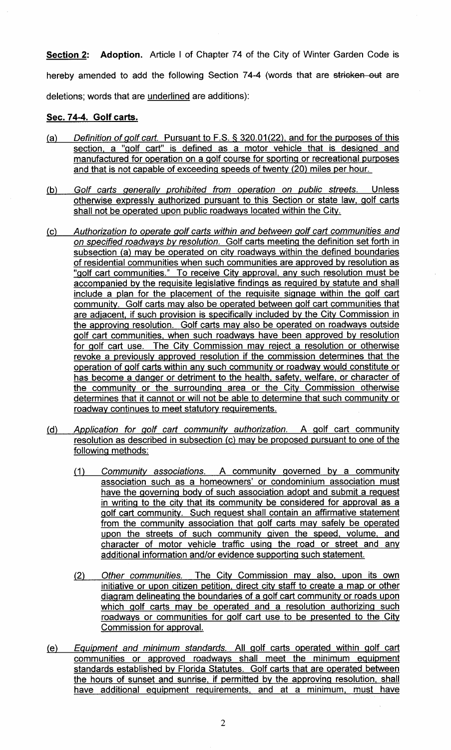Section 2: Adoption. Article I of Chapter 74 of the City of Winter Garden Code is **HEREAD AND AND THE STATE OF A STATE OF STATE CARE CARE SOMET SOMET.**<br>hereby amended to add the following Section 74-4 (words that are stricken out are deletions; words that are underlined are additions):

## sec. 74-4. Golf carts.

- sec.  $14-4$ . Golf carts.<br>(a) Definition of golf cart. Pursuant to F.S. § 320.01(22), a 320.01(22), and for the purposes of this<br>motor vehicle that is designed and section, a "golf cart" is defined as <sup>a</sup> motor vehicle that is designed and manufactured for operation on a golf course for sporting or recreational purposes and that is not capable of exceeding speeds of twenty (20) miles per hour.
- (b) Golf carts generally prohibited from operation on public streets. Unless otherwise expressly authorized pursuant to this Section or state law, golf carts shall not be operated upon public roadways located within the City.
- (c) Authorization to operate golf carts within and between golf cart communities and on specified roadways by resolution. Golf carts meeting the definition set forth in subsection (a) may be operated on city roadways within the defined boundaries of residential communities when such communities are approved by resolution as "golf cart communities." To receive City approval, any such resolution must be accompanied by the requisite legislative findings as required by statute and shall include <sup>a</sup> plan for the placement of the requisite signage within the golf cart community. Golf carts may also be operated between golf cart communities that are adjacent, if such provision is specifically included by the City Commission in the approving resolution. Golf carts may also be operated on roadways outside golf cart communities, when such roadways have been approved by resolution for golf cart use. The City Commission may reject a resolution or otherwise revoke <sup>a</sup> previously approved resolution if the commission determines that the operation of golf carts within any such community or roadway would constitute or has become <sup>a</sup> danger or detriment to the health, safety, welfare, or character of the community or the surrounding area or the City Commission otherwise determines that it cannot or will not be able to determine that such community or roadway continues to meet statutory requirements.
- $(d)$ Application for golf cart community authorization. A golf cart community resolution as described in subsection (c) may be proposed pursuant to one of the following methods:
	- 1) Community associations. A community governed by <sup>a</sup> community association such as a homeowners' or condominium association must have the governing body of such association adopt and submit a request in writing to the city that its community be considered for approval as <sup>a</sup> golf cart community. Such request shall contain an affirmative statement from the community association that golf carts may safely be operated upon the streets of such community given the speed, volume, and character of motor vehicle traffic using the road or street and any character of motor vehicle traffic using the road or street and ditional information and/or evidence supporting such statement.
	- 2) Other communities. The Citv Commission may also, upon its own initiative or upon citizen petition, direct city staff to create a map or other diagram delineating the boundaries of a golf cart community or roads upon which golf carts may be operated and a resolution authorizing such roadways or communities for golf cart use to be presented to the City Commission for approval.
- (e) Equipment and minimum standards. All golf carts operated within golf cart communities or approved roadways shall meet the minimum equipment standards established by Florida Statutes. Golf carts that are operated between the hours of sunset and sunrise, if permitted by the approving resolution, shall have additional equipment requirements, and at a minimum, must have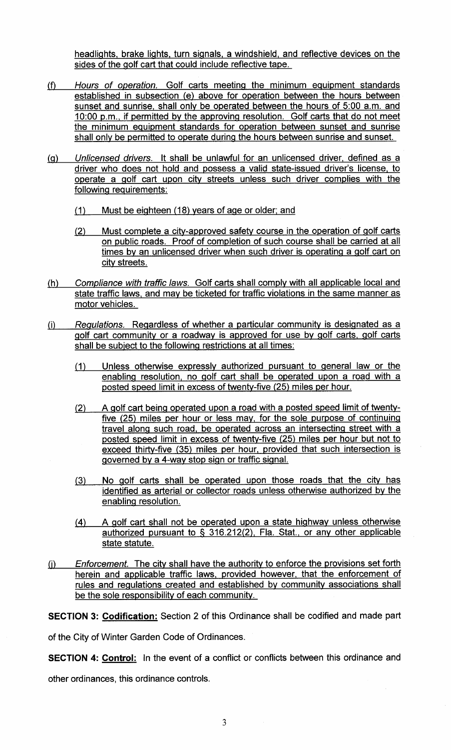headlights, brake lights, turn signals, a windshield, and reflective devices on the sides of the golf cart that could include reflective tape.

- fl Hours of operation. Golf carts meeting the minimum equipment standards established in subsection (e) above for operation between the hours between<br>sunset and sunrise, shall only be operated between the hours of 5:00 a.m. and sunset and sunrise, shall only be operated between the hours of 5:00 a.m. and established in subsection (e) above for operation between the hours between<br>sunset and sunrise, shall only be operated between the hours of 5:00 a.m. and<br>10:00 p.m., if permitted by the approving resolution. Golf carts tha the minimum equipment standards for operation between sunset and sunrise shall only be permitted to operate during the hours between sunrise and sunset.
- q) Unlicensed drivers. It shall be unlawful for an unlicensed driver, defined as <sup>a</sup> driver who does not hold and possess a valid state-issued driver's license, to shall only be permitted to operate during the hours between sunrise and sunset.<br>Unlicensed drivers. It shall be unlawful for an unlicensed driver, defined as a<br>driver who does not hold and possess a valid state-issued driv following requirements:
	- 1) Must be eighteen (18) years of age or older; and
	- (1) Must be eighteen (18) years of age or older; and<br>(2) Must complete a city-approved safety course in the operation of golf carts)<br>an aublie reade. Press of completion of our begures abell be corried at all on public roads. Proof of completion of such course shall be carried at all times by an unlicensed driver when such driver is operating a golf cart on city streets.
- h) Compliance with traffic laws. Golf carts shall comply with all applicable local and state traffic laws, and may be ticketed for traffic violations in the same manner as motor vehicles.
- i) Regulations. Regardless of whether <sup>a</sup> particular community is designated as <sup>a</sup> golf cart community or <sup>a</sup> roadway is approved for use by golf carts, golf carts shall be subject to the following restrictions at all times:
	- 1) Unless otherwise expressly authorized pursuant to general law or the enabling resolution, no golf cart shall be operated upon a road with a<br>posted speed limit in excess of twenty-five (25) miles per hour. posted speed limit in excess of twenty-five (25) miles per hour.
	- (2) A golf cart being operated upon a road with a posted speed limit of twentyfive (25) miles per hour or less may, for the sole purpose of continuing travel along such road, be operated across an intersecting street with <sup>a</sup> travel along such road, be operated across an intersecting street with a<br>posted speed limit in excess of twenty-five (25) miles per hour but not to posted speed limit in excess of twenty-five (25) miles per hour but not to<br>exceed thirty-five (35) miles per hour, provided that such intersection is<br>governed by 3.4 way stop sign or traffic signal governed by a 4-way stop sign or traffic signal. <u>limit in e</u><br><u>ive (35)</u><br>4-way st
	- 3) No golf carts shall be operated upon those roads that the city has identified as arterial or collector roads unless otherwise authorized by the enabling resolution. perated upon those roads that the city has<br>ector roads unless otherwise authorized by the<br>perated upon a state highway unless otherwise<br>316.212(2), Fla. Stat., or any other applicable
	- 4) <sup>A</sup> golf cart shall not be operated upon <sup>a</sup> state highway unless otherwise authorized pursuant to & 316. state statute.
- Enforcement. The city shall have the authority to enforce the provisions set forth  $(i)$ herein and applicable traffic laws, provided however, that the enforcement of rules and regulations created and established by community associations shall be the sole responsibility of each community.

SECTION 3: Codification: Section 2 of this Ordinance shall be codified and made part

of the City of Winter Garden Code of Ordinances.

**SECTION 4: Control:** In the event of a conflict or conflicts between this ordinance and

other ordinances, this ordinance controls.